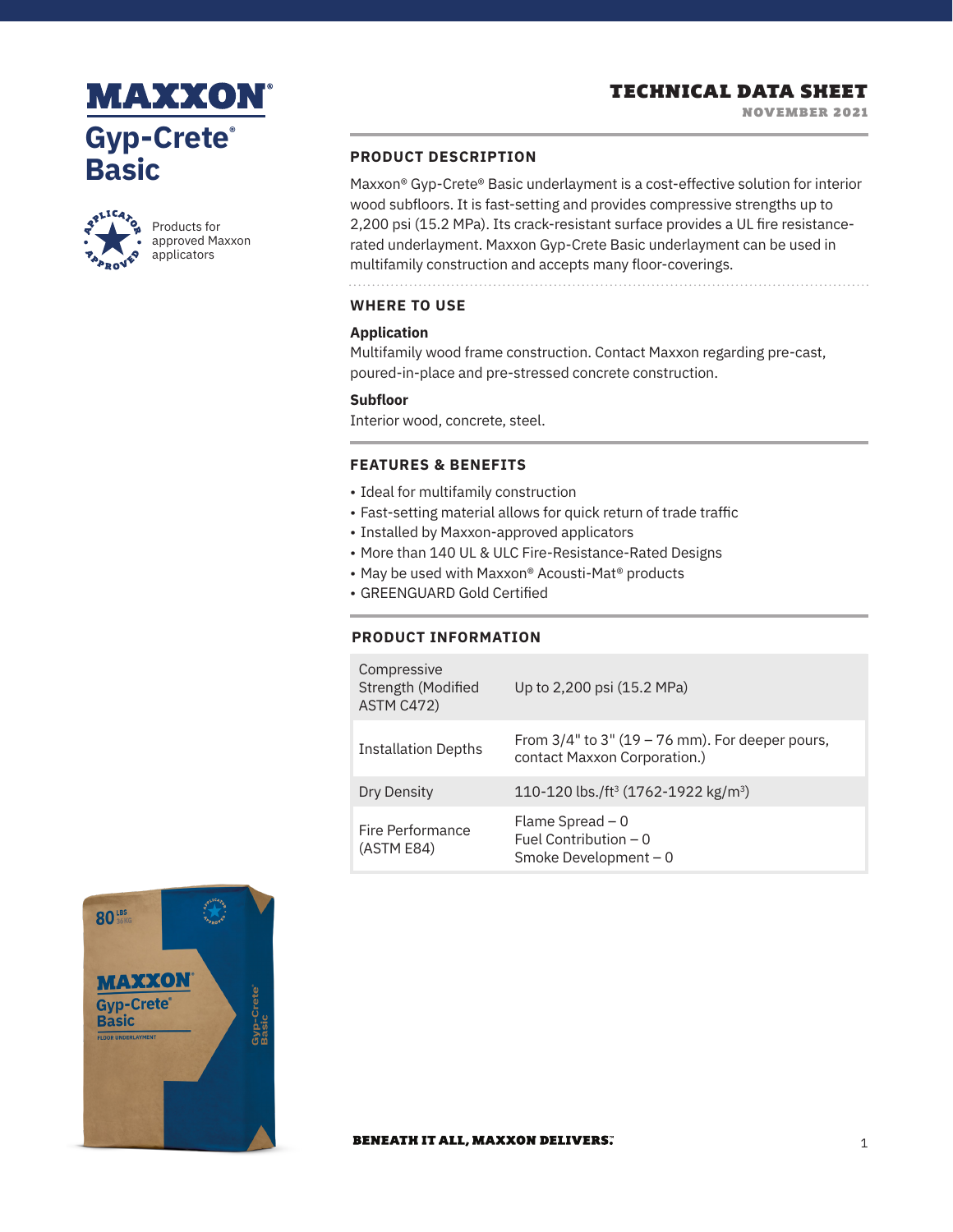## TECHNICAL DATA SHEET

# **MAXXON Gyp-Crete® Basic**



Products for approved Maxxon applicators

### **PRODUCT DESCRIPTION**

Maxxon® Gyp-Crete® Basic underlayment is a cost-effective solution for interior wood subfloors. It is fast-setting and provides compressive strengths up to 2,200 psi (15.2 MPa). Its crack-resistant surface provides a UL fire resistancerated underlayment. Maxxon Gyp-Crete Basic underlayment can be used in multifamily construction and accepts many floor-coverings.

**WHERE TO USE**

#### **Application**

Multifamily wood frame construction. Contact Maxxon regarding pre-cast, poured-in-place and pre-stressed concrete construction.

#### **Subfloor**

Interior wood, concrete, steel.

### **FEATURES & BENEFITS**

- Ideal for multifamily construction
- Fast-setting material allows for quick return of trade traffic
- Installed by Maxxon-approved applicators
- More than 140 UL & ULC Fire-Resistance-Rated Designs
- May be used with Maxxon® Acousti-Mat® products
- GREENGUARD Gold Certified

### **PRODUCT INFORMATION**

| Compressive<br>Strength (Modified<br>ASTM C472) | Up to 2,200 psi (15.2 MPa)                                                            |
|-------------------------------------------------|---------------------------------------------------------------------------------------|
| <b>Installation Depths</b>                      | From $3/4$ " to $3$ " (19 – 76 mm). For deeper pours,<br>contact Maxxon Corporation.) |
| Dry Density                                     | 110-120 lbs./ft <sup>3</sup> (1762-1922 kg/m <sup>3</sup> )                           |
| Fire Performance<br>(ASTM E84)                  | Flame Spread $-0$<br>Fuel Contribution $-0$<br>Smoke Development - 0                  |



#### **BENEATH IT ALL, MAXXON DELIVERS.**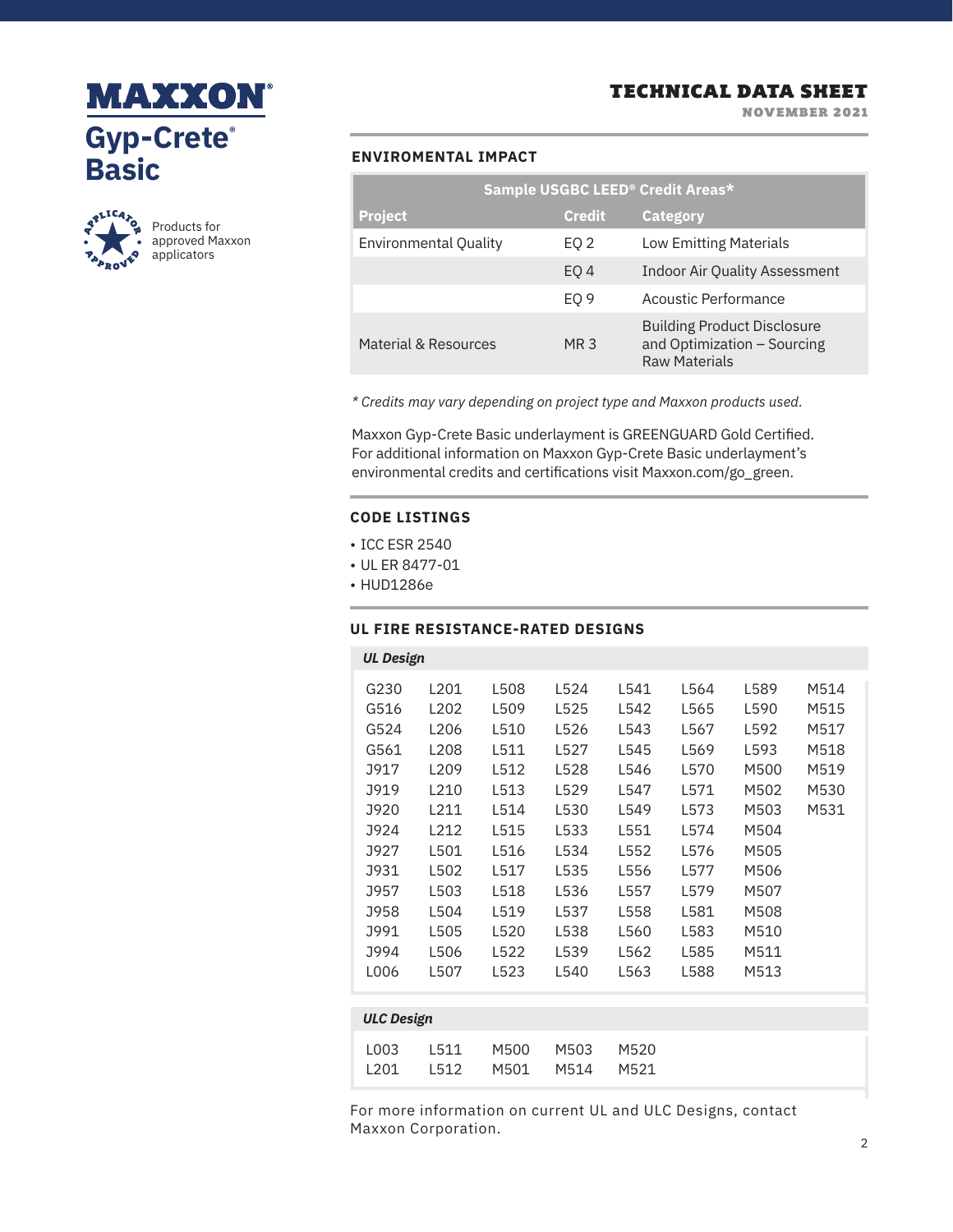

NOVEMBER 2021

# **MAXXON® Gyp-Crete® Basic**



Products for approved Maxxon applicators

### **ENVIROMENTAL IMPACT**

| Sample USGBC LEED <sup>®</sup> Credit Areas* |                 |                                                                                           |  |  |
|----------------------------------------------|-----------------|-------------------------------------------------------------------------------------------|--|--|
| <b>Project</b>                               | <b>Credit</b>   | <b>Category</b>                                                                           |  |  |
| <b>Environmental Quality</b>                 | EQ 2            | <b>Low Emitting Materials</b>                                                             |  |  |
|                                              | EO <sub>4</sub> | <b>Indoor Air Quality Assessment</b>                                                      |  |  |
|                                              | EO <sub>9</sub> | Acoustic Performance                                                                      |  |  |
| Material & Resources                         | MR 3            | <b>Building Product Disclosure</b><br>and Optimization - Sourcing<br><b>Raw Materials</b> |  |  |

*\* Credits may vary depending on project type and Maxxon products used.*

Maxxon Gyp-Crete Basic underlayment is GREENGUARD Gold Certified. For additional information on Maxxon Gyp-Crete Basic underlayment's environmental credits and certifications visit Maxxon.com/go\_green.

### **CODE LISTINGS**

- ICC ESR 2540
- UL ER 8477-01
- HUD1286e

#### **UL FIRE RESISTANCE-RATED DESIGNS**

|                   | <b>UL Design</b> |                  |      |      |      |      |      |      |  |
|-------------------|------------------|------------------|------|------|------|------|------|------|--|
|                   | G230             | L201             | L508 | L524 | L541 | L564 | L589 | M514 |  |
|                   | G516             | L <sub>202</sub> | L509 | L525 | L542 | L565 | L590 | M515 |  |
|                   | G524             | L <sub>206</sub> | L510 | L526 | L543 | L567 | L592 | M517 |  |
|                   | G561             | L208             | L511 | L527 | L545 | L569 | L593 | M518 |  |
|                   | <b>J917</b>      | L <sub>209</sub> | L512 | L528 | L546 | L570 | M500 | M519 |  |
|                   | <b>J919</b>      | L210             | L513 | L529 | L547 | L571 | M502 | M530 |  |
|                   | J920             | L211             | L514 | L530 | L549 | L573 | M503 | M531 |  |
|                   | J924             | L212             | L515 | L533 | L551 | L574 | M504 |      |  |
|                   | J927             | L501             | L516 | L534 | L552 | L576 | M505 |      |  |
|                   | <b>J931</b>      | L502             | L517 | L535 | L556 | L577 | M506 |      |  |
|                   | <b>J957</b>      | L503             | L518 | L536 | L557 | L579 | M507 |      |  |
|                   | J958             | L504             | L519 | L537 | L558 | L581 | M508 |      |  |
|                   | J991             | L505             | L520 | L538 | L560 | L583 | M510 |      |  |
|                   | J994             | L506             | L522 | L539 | L562 | L585 | M511 |      |  |
|                   | L006             | L507             | L523 | L540 | L563 | L588 | M513 |      |  |
|                   |                  |                  |      |      |      |      |      |      |  |
| <b>ULC Design</b> |                  |                  |      |      |      |      |      |      |  |
|                   |                  |                  |      |      |      |      |      |      |  |

| 1003 | L511 | M500 - | M503 | M520 |
|------|------|--------|------|------|
| 1201 | L512 | M501 - | M514 | M521 |

For more information on current UL and ULC Designs, contact Maxxon Corporation.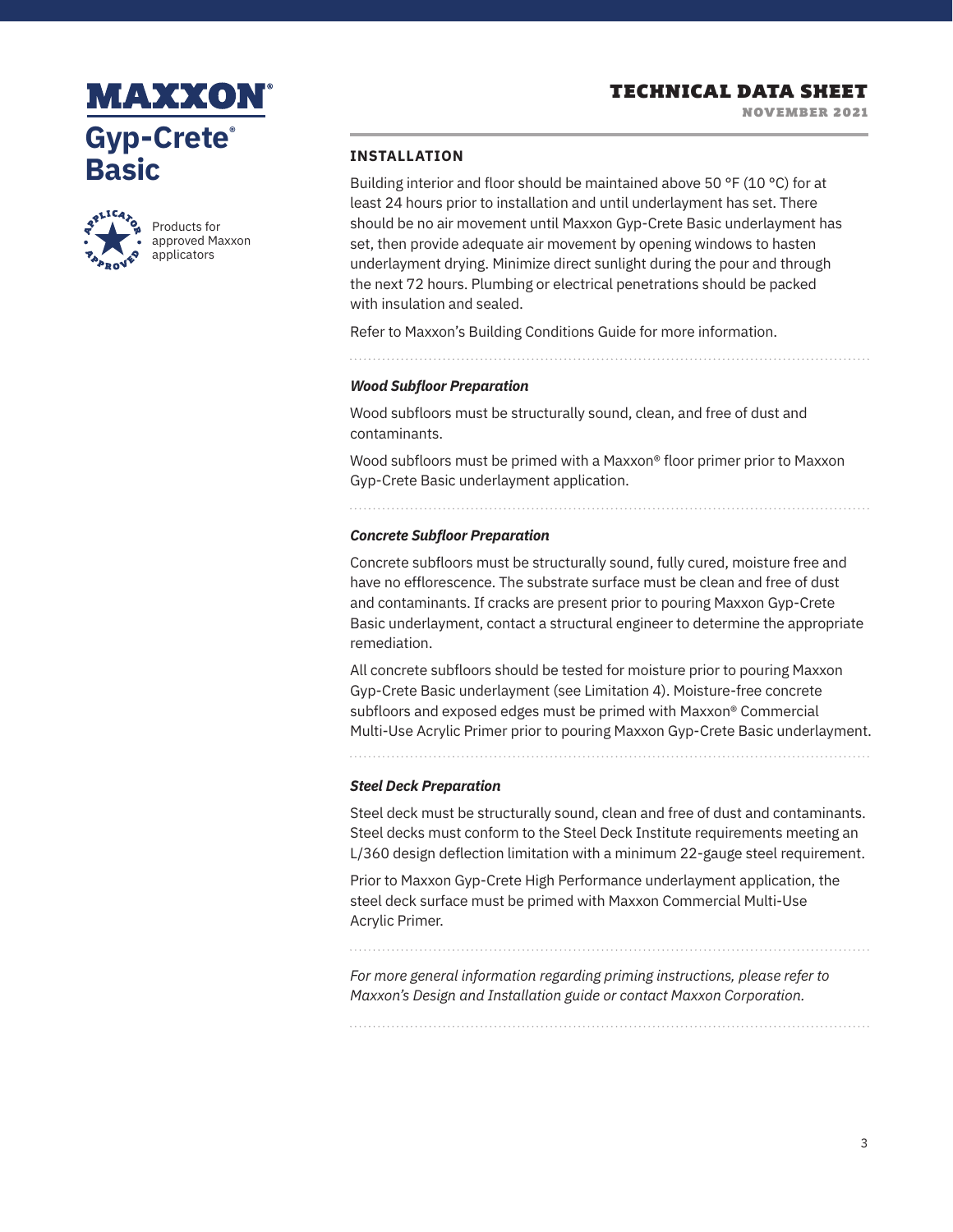### TECHNICAL DATA SHEET

NOVEMBER 2021

# MAXXON **Gyp-Crete® Basic**



Products for approved Maxxon applicators

#### **INSTALLATION**

Building interior and floor should be maintained above 50 °F (10 °C) for at least 24 hours prior to installation and until underlayment has set. There should be no air movement until Maxxon Gyp-Crete Basic underlayment has set, then provide adequate air movement by opening windows to hasten underlayment drying. Minimize direct sunlight during the pour and through the next 72 hours. Plumbing or electrical penetrations should be packed with insulation and sealed.

Refer to Maxxon's Building Conditions Guide for more information.

*Wood Subfloor Preparation* 

Wood subfloors must be structurally sound, clean, and free of dust and contaminants.

Wood subfloors must be primed with a Maxxon® floor primer prior to Maxxon Gyp-Crete Basic underlayment application.

#### *Concrete Subfloor Preparation*

Concrete subfloors must be structurally sound, fully cured, moisture free and have no efflorescence. The substrate surface must be clean and free of dust and contaminants. If cracks are present prior to pouring Maxxon Gyp-Crete Basic underlayment, contact a structural engineer to determine the appropriate remediation.

All concrete subfloors should be tested for moisture prior to pouring Maxxon Gyp-Crete Basic underlayment (see Limitation 4). Moisture-free concrete subfloors and exposed edges must be primed with Maxxon® Commercial Multi-Use Acrylic Primer prior to pouring Maxxon Gyp-Crete Basic underlayment.

#### *Steel Deck Preparation*

Steel deck must be structurally sound, clean and free of dust and contaminants. Steel decks must conform to the Steel Deck Institute requirements meeting an L/360 design deflection limitation with a minimum 22-gauge steel requirement.

Prior to Maxxon Gyp-Crete High Performance underlayment application, the steel deck surface must be primed with Maxxon Commercial Multi-Use Acrylic Primer.

*For more general information regarding priming instructions, please refer to Maxxon's Design and Installation guide or contact Maxxon Corporation.*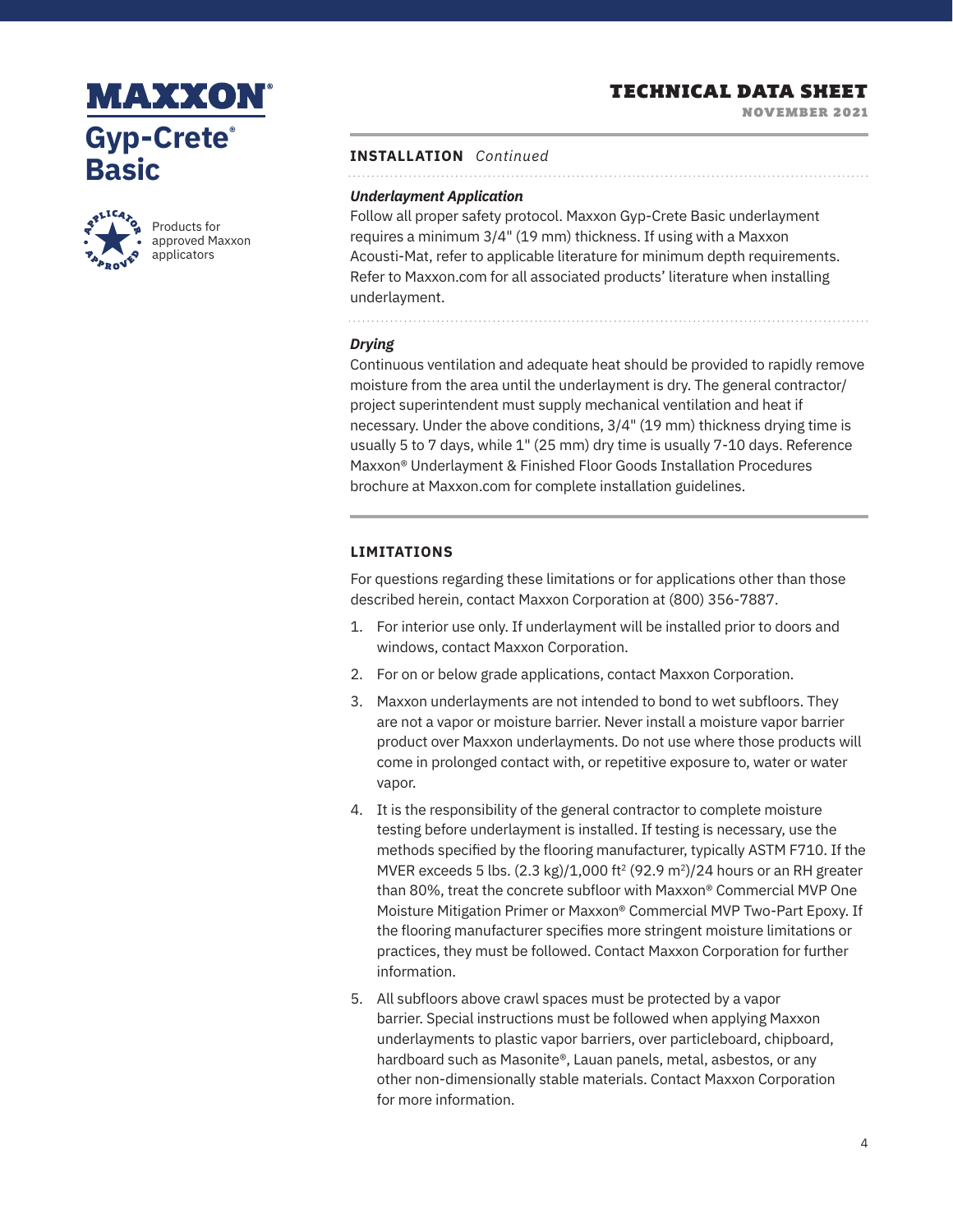# **MAXXON Gyp-Crete® Basic**



Products for approved Maxxon applicators

## TECHNICAL DATA SHEET

NOVEMBER 2021

### **INSTALLATION** *Continued*

#### *Underlayment Application*

Follow all proper safety protocol. Maxxon Gyp-Crete Basic underlayment requires a minimum 3/4" (19 mm) thickness. If using with a Maxxon Acousti-Mat, refer to applicable literature for minimum depth requirements. Refer to Maxxon.com for all associated products' literature when installing underlayment.

#### *Drying*

Continuous ventilation and adequate heat should be provided to rapidly remove moisture from the area until the underlayment is dry. The general contractor/ project superintendent must supply mechanical ventilation and heat if necessary. Under the above conditions, 3/4" (19 mm) thickness drying time is usually 5 to 7 days, while 1" (25 mm) dry time is usually 7-10 days. Reference Maxxon® Underlayment & Finished Floor Goods Installation Procedures brochure at Maxxon.com for complete installation guidelines.

### **LIMITATIONS**

For questions regarding these limitations or for applications other than those described herein, contact Maxxon Corporation at (800) 356-7887.

- 1. For interior use only. If underlayment will be installed prior to doors and windows, contact Maxxon Corporation.
- 2. For on or below grade applications, contact Maxxon Corporation.
- 3. Maxxon underlayments are not intended to bond to wet subfloors. They are not a vapor or moisture barrier. Never install a moisture vapor barrier product over Maxxon underlayments. Do not use where those products will come in prolonged contact with, or repetitive exposure to, water or water vapor.
- 4. It is the responsibility of the general contractor to complete moisture testing before underlayment is installed. If testing is necessary, use the methods specified by the flooring manufacturer, typically ASTM F710. If the MVER exceeds 5 lbs.  $(2.3 \text{ kg})/1,000 \text{ ft}^2 (92.9 \text{ m}^2)/24$  hours or an RH greater than 80%, treat the concrete subfloor with Maxxon® Commercial MVP One Moisture Mitigation Primer or Maxxon® Commercial MVP Two-Part Epoxy. If the flooring manufacturer specifies more stringent moisture limitations or practices, they must be followed. Contact Maxxon Corporation for further information.
- 5. All subfloors above crawl spaces must be protected by a vapor barrier. Special instructions must be followed when applying Maxxon underlayments to plastic vapor barriers, over particleboard, chipboard, hardboard such as Masonite®, Lauan panels, metal, asbestos, or any other non-dimensionally stable materials. Contact Maxxon Corporation for more information.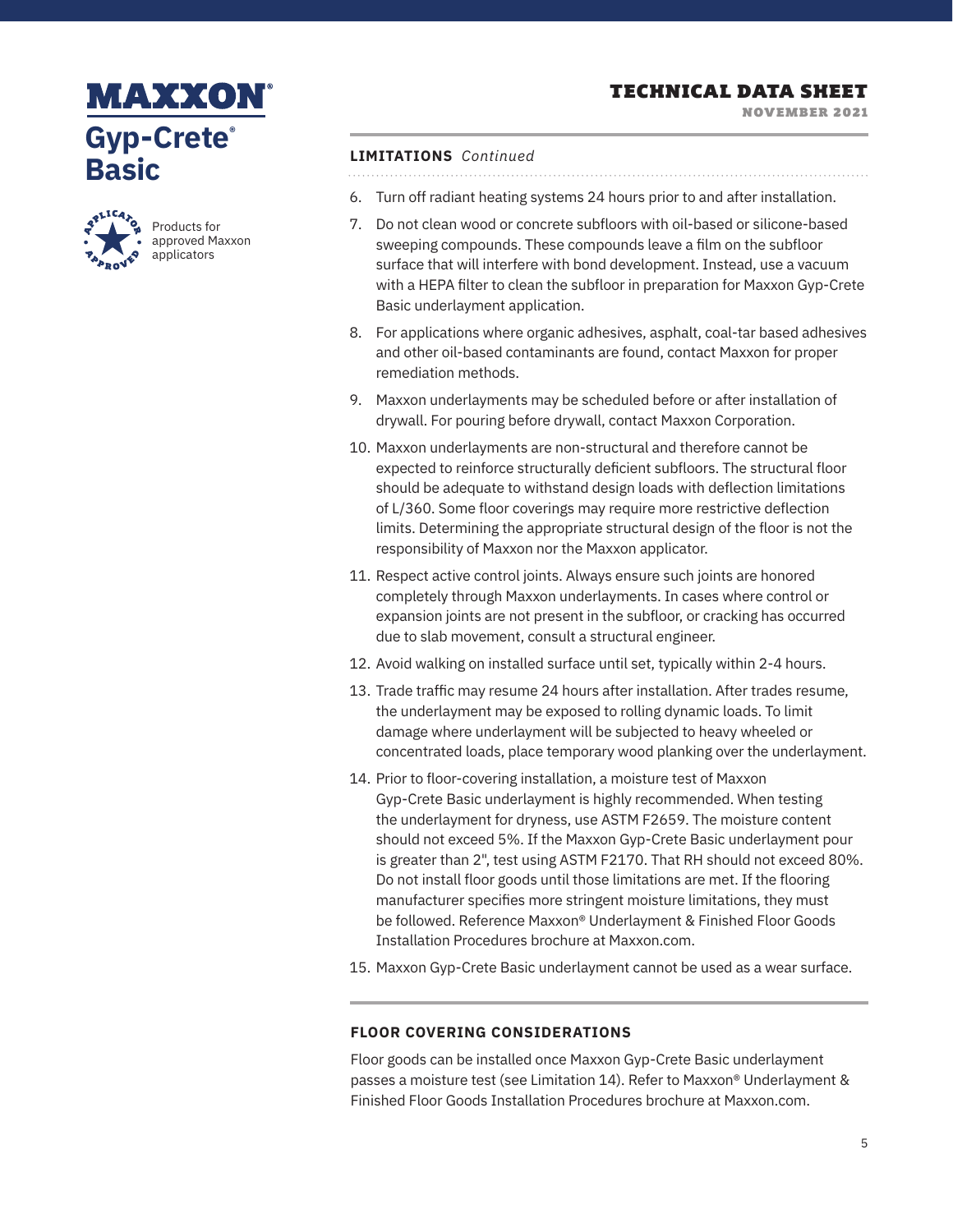## TECHNICAL DATA SHEET

NOVEMBER 2021

# **MAXXON Gyp-Crete® Basic**



Products for approved Maxxon applicators

### **LIMITATIONS** *Continued*

6. Turn off radiant heating systems 24 hours prior to and after installation.

- 7. Do not clean wood or concrete subfloors with oil-based or silicone-based sweeping compounds. These compounds leave a film on the subfloor surface that will interfere with bond development. Instead, use a vacuum with a HEPA filter to clean the subfloor in preparation for Maxxon Gyp-Crete Basic underlayment application.
- 8. For applications where organic adhesives, asphalt, coal-tar based adhesives and other oil-based contaminants are found, contact Maxxon for proper remediation methods.
- 9. Maxxon underlayments may be scheduled before or after installation of drywall. For pouring before drywall, contact Maxxon Corporation.
- 10. Maxxon underlayments are non-structural and therefore cannot be expected to reinforce structurally deficient subfloors. The structural floor should be adequate to withstand design loads with deflection limitations of L/360. Some floor coverings may require more restrictive deflection limits. Determining the appropriate structural design of the floor is not the responsibility of Maxxon nor the Maxxon applicator.
- 11. Respect active control joints. Always ensure such joints are honored completely through Maxxon underlayments. In cases where control or expansion joints are not present in the subfloor, or cracking has occurred due to slab movement, consult a structural engineer.
- 12. Avoid walking on installed surface until set, typically within 2-4 hours.
- 13. Trade traffic may resume 24 hours after installation. After trades resume, the underlayment may be exposed to rolling dynamic loads. To limit damage where underlayment will be subjected to heavy wheeled or concentrated loads, place temporary wood planking over the underlayment.
- 14. Prior to floor-covering installation, a moisture test of Maxxon Gyp-Crete Basic underlayment is highly recommended. When testing the underlayment for dryness, use ASTM F2659. The moisture content should not exceed 5%. If the Maxxon Gyp-Crete Basic underlayment pour is greater than 2", test using ASTM F2170. That RH should not exceed 80%. Do not install floor goods until those limitations are met. If the flooring manufacturer specifies more stringent moisture limitations, they must be followed. Reference Maxxon® Underlayment & Finished Floor Goods Installation Procedures brochure at Maxxon.com.
- 15. Maxxon Gyp-Crete Basic underlayment cannot be used as a wear surface.

### **FLOOR COVERING CONSIDERATIONS**

Floor goods can be installed once Maxxon Gyp-Crete Basic underlayment passes a moisture test (see Limitation 14). Refer to Maxxon® Underlayment & Finished Floor Goods Installation Procedures brochure at Maxxon.com.